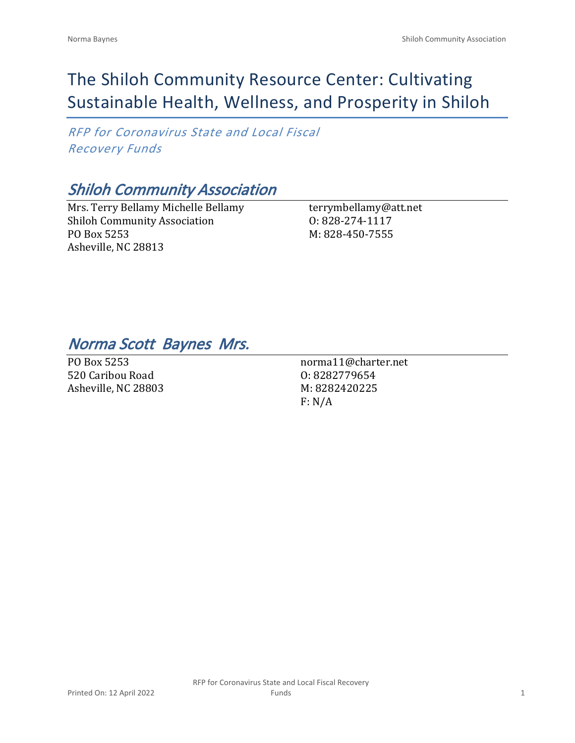# The Shiloh Community Resource Center: Cultivating Sustainable Health, Wellness, and Prosperity in Shiloh

*RFP for Coronavirus State and Local Fiscal Recovery Funds*

# *Shiloh Community Association*

Mrs. Terry Bellamy Michelle Bellamy Shiloh Community Association PO Box 5253 Asheville, NC 28813

terrymbellamy@att.net O: 828-274-1117 M: 828-450-7555

## *Norma Scott Baynes Mrs.*

PO Box 5253 520 Caribou Road Asheville, NC 28803

norma11@charter.net O: 8282779654 M: 8282420225 F: N/A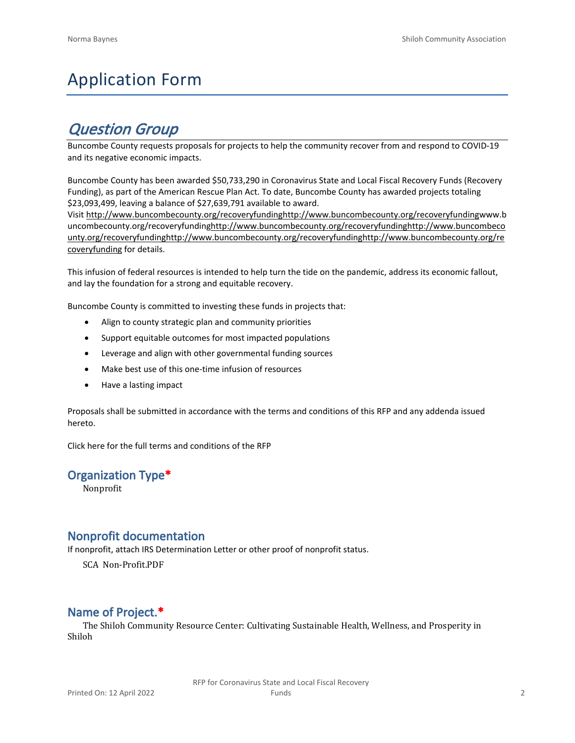# Application Form

## *Question Group*

Buncombe County requests proposals for projects to help the community recover from and respond to COVID-19 and its negative economic impacts.

Buncombe County has been awarded \$50,733,290 in Coronavirus State and Local Fiscal Recovery Funds (Recovery Funding), as part of the American Rescue Plan Act. To date, Buncombe County has awarded projects totaling \$23,093,499, leaving a balance of \$27,639,791 available to award.

Visit [http://www.buncombecounty.org/recoveryfundinghttp://www.buncombecounty.org/recoveryfundingwww.b](http://www.buncombecounty.org/recoveryfunding) [uncombecounty.org/recoveryfundinghttp://www.buncombecounty.org/recoveryfundinghttp://www.buncombeco](http://www.buncombecounty.org/recoveryfunding) [unty.org/recoveryfundinghttp://www.buncombecounty.org/recoveryfundinghttp://www.buncombecounty.org/re](http://www.buncombecounty.org/recoveryfunding) [coveryfunding](http://www.buncombecounty.org/recoveryfunding) for details.

This infusion of federal resources is intended to help turn the tide on the pandemic, address its economic fallout, and lay the foundation for a strong and equitable recovery.

Buncombe County is committed to investing these funds in projects that:

- Align to county strategic plan and community priorities
- Support equitable outcomes for most impacted populations
- Leverage and align with other governmental funding sources
- Make best use of this one-time infusion of resources
- Have a lasting impact

Proposals shall be submitted in accordance with the terms and conditions of this RFP and any addenda issued hereto.

Click [here](https://www.buncombecounty.org/common/purchasing/Buncombe%20Recovery%20Funding%20RFP%202022.pdf) for the full terms and conditions of the RFP

## **Organization Type\***

Nonprofit

## **Nonprofit documentation**

If nonprofit, attach IRS Determination Letter or other proof of nonprofit status.

SCA Non-Profit.PDF

## **Name of Project.\***

The Shiloh Community Resource Center: Cultivating Sustainable Health, Wellness, and Prosperity in Shiloh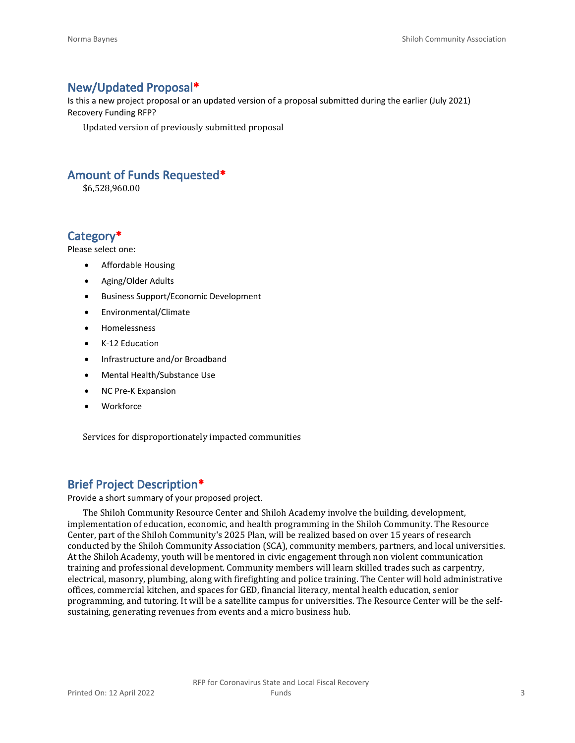## **New/Updated Proposal\***

Is this a new project proposal or an updated version of a proposal submitted during the earlier (July 2021) Recovery Funding RFP?

Updated version of previously submitted proposal

## **Amount of Funds Requested\***

\$6,528,960.00

## **Category\***

Please select one:

- Affordable Housing
- Aging/Older Adults
- Business Support/Economic Development
- Environmental/Climate
- Homelessness
- K-12 Education
- Infrastructure and/or Broadband
- Mental Health/Substance Use
- NC Pre-K Expansion
- **Workforce**

Services for disproportionately impacted communities

## **Brief Project Description\***

Provide a short summary of your proposed project.

The Shiloh Community Resource Center and Shiloh Academy involve the building, development, implementation of education, economic, and health programming in the Shiloh Community. The Resource Center, part of the Shiloh Community's 2025 Plan, will be realized based on over 15 years of research conducted by the Shiloh Community Association (SCA), community members, partners, and local universities. At the Shiloh Academy, youth will be mentored in civic engagement through non violent communication training and professional development. Community members will learn skilled trades such as carpentry, electrical, masonry, plumbing, along with firefighting and police training. The Center will hold administrative offices, commercial kitchen, and spaces for GED, financial literacy, mental health education, senior programming, and tutoring. It will be a satellite campus for universities. The Resource Center will be the selfsustaining, generating revenues from events and a micro business hub.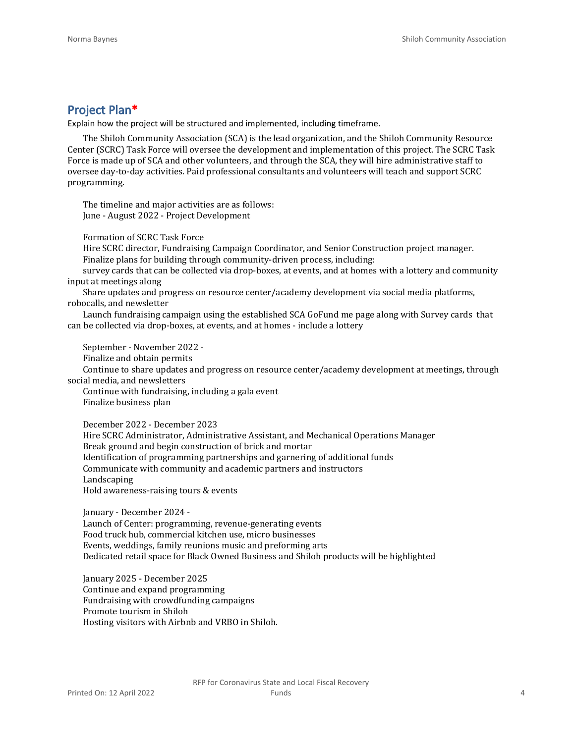## **Project Plan\***

Explain how the project will be structured and implemented, including timeframe.

The Shiloh Community Association (SCA) is the lead organization, and the Shiloh Community Resource Center (SCRC) Task Force will oversee the development and implementation of this project. The SCRC Task Force is made up of SCA and other volunteers, and through the SCA, they will hire administrative staff to oversee day-to-day activities. Paid professional consultants and volunteers will teach and support SCRC programming.

The timeline and major activities are as follows: June - August 2022 - Project Development

Formation of SCRC Task Force

Hire SCRC director, Fundraising Campaign Coordinator, and Senior Construction project manager. Finalize plans for building through community-driven process, including:

survey cards that can be collected via drop-boxes, at events, and at homes with a lottery and community input at meetings along

Share updates and progress on resource center/academy development via social media platforms, robocalls, and newsletter

Launch fundraising campaign using the established SCA GoFund me page along with Survey cards that can be collected via drop-boxes, at events, and at homes - include a lottery

September - November 2022 -

Finalize and obtain permits

Continue to share updates and progress on resource center/academy development at meetings, through social media, and newsletters

Continue with fundraising, including a gala event Finalize business plan

December 2022 - December 2023

Hire SCRC Administrator, Administrative Assistant, and Mechanical Operations Manager

Break ground and begin construction of brick and mortar

Identification of programming partnerships and garnering of additional funds

Communicate with community and academic partners and instructors

Landscaping

Hold awareness-raising tours & events

January - December 2024 -

Launch of Center: programming, revenue-generating events Food truck hub, commercial kitchen use, micro businesses Events, weddings, family reunions music and preforming arts Dedicated retail space for Black Owned Business and Shiloh products will be highlighted

January 2025 - December 2025 Continue and expand programming Fundraising with crowdfunding campaigns Promote tourism in Shiloh Hosting visitors with Airbnb and VRBO in Shiloh.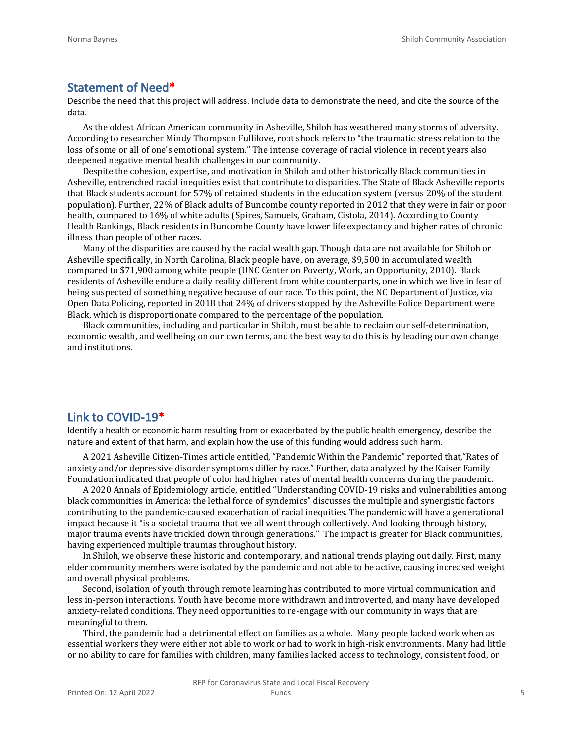#### **Statement of Need\***

Describe the need that this project will address. Include data to demonstrate the need, and cite the source of the data.

As the oldest African American community in Asheville, Shiloh has weathered many storms of adversity. According to researcher Mindy Thompson Fullilove, root shock refers to "the traumatic stress relation to the loss of some or all of one's emotional system." The intense coverage of racial violence in recent years also deepened negative mental health challenges in our community.

Despite the cohesion, expertise, and motivation in Shiloh and other historically Black communities in Asheville, entrenched racial inequities exist that contribute to disparities. The State of Black Asheville reports that Black students account for 57% of retained students in the education system (versus 20% of the student population). Further, 22% of Black adults of Buncombe county reported in 2012 that they were in fair or poor health, compared to 16% of white adults (Spires, Samuels, Graham, Cistola, 2014). According to County Health Rankings, Black residents in Buncombe County have lower life expectancy and higher rates of chronic illness than people of other races.

Many of the disparities are caused by the racial wealth gap. Though data are not available for Shiloh or Asheville specifically, in North Carolina, Black people have, on average, \$9,500 in accumulated wealth compared to \$71,900 among white people (UNC Center on Poverty, Work, an Opportunity, 2010). Black residents of Asheville endure a daily reality different from white counterparts, one in which we live in fear of being suspected of something negative because of our race. To this point, the NC Department of Justice, via Open Data Policing, reported in 2018 that 24% of drivers stopped by the Asheville Police Department were Black, which is disproportionate compared to the percentage of the population.

Black communities, including and particular in Shiloh, must be able to reclaim our self-determination, economic wealth, and wellbeing on our own terms, and the best way to do this is by leading our own change and institutions.

#### **Link to COVID-19\***

Identify a health or economic harm resulting from or exacerbated by the public health emergency, describe the nature and extent of that harm, and explain how the use of this funding would address such harm.

A 2021 Asheville Citizen-Times article entitled, "Pandemic Within the Pandemic" reported that,"Rates of anxiety and/or depressive disorder symptoms differ by race." Further, data analyzed by the Kaiser Family Foundation indicated that people of color had higher rates of mental health concerns during the pandemic.

A 2020 Annals of Epidemiology article, entitled "Understanding COVID-19 risks and vulnerabilities among black communities in America: the lethal force of syndemics" discusses the multiple and synergistic factors contributing to the pandemic-caused exacerbation of racial inequities. The pandemic will have a generational impact because it "is a societal trauma that we all went through collectively. And looking through history, major trauma events have trickled down through generations." The impact is greater for Black communities, having experienced multiple traumas throughout history.

In Shiloh, we observe these historic and contemporary, and national trends playing out daily. First, many elder community members were isolated by the pandemic and not able to be active, causing increased weight and overall physical problems.

Second, isolation of youth through remote learning has contributed to more virtual communication and less in-person interactions. Youth have become more withdrawn and introverted, and many have developed anxiety-related conditions. They need opportunities to re-engage with our community in ways that are meaningful to them.

Third, the pandemic had a detrimental effect on families as a whole. Many people lacked work when as essential workers they were either not able to work or had to work in high-risk environments. Many had little or no ability to care for families with children, many families lacked access to technology, consistent food, or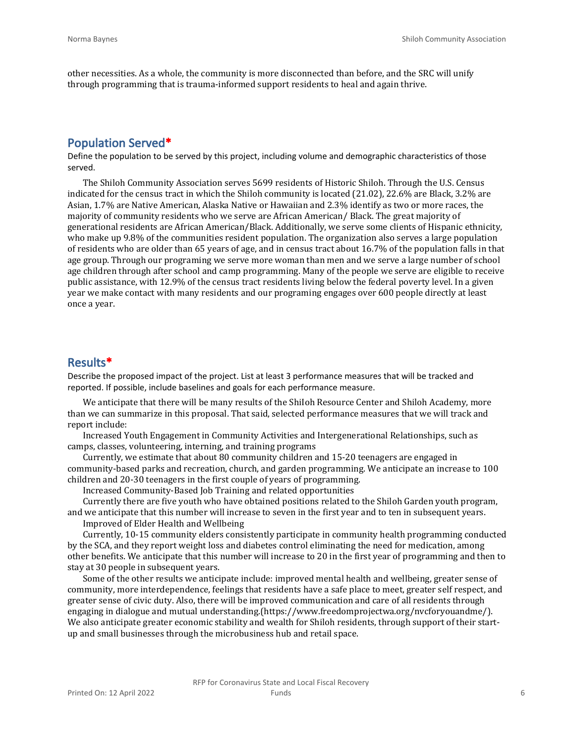other necessities. As a whole, the community is more disconnected than before, and the SRC will unify through programming that is trauma-informed support residents to heal and again thrive.

## **Population Served\***

Define the population to be served by this project, including volume and demographic characteristics of those served.

The Shiloh Community Association serves 5699 residents of Historic Shiloh. Through the U.S. Census indicated for the census tract in which the Shiloh community is located (21.02), 22.6% are Black, 3.2% are Asian, 1.7% are Native American, Alaska Native or Hawaiian and 2.3% identify as two or more races, the majority of community residents who we serve are African American/ Black. The great majority of generational residents are African American/Black. Additionally, we serve some clients of Hispanic ethnicity, who make up 9.8% of the communities resident population. The organization also serves a large population of residents who are older than 65 years of age, and in census tract about 16.7% of the population falls in that age group. Through our programing we serve more woman than men and we serve a large number of school age children through after school and camp programming. Many of the people we serve are eligible to receive public assistance, with 12.9% of the census tract residents living below the federal poverty level. In a given year we make contact with many residents and our programing engages over 600 people directly at least once a year.

### **Results\***

Describe the proposed impact of the project. List at least 3 performance measures that will be tracked and reported. If possible, include baselines and goals for each performance measure.

We anticipate that there will be many results of the ShiIoh Resource Center and Shiloh Academy, more than we can summarize in this proposal. That said, selected performance measures that we will track and report include:

Increased Youth Engagement in Community Activities and Intergenerational Relationships, such as camps, classes, volunteering, interning, and training programs

Currently, we estimate that about 80 community children and 15-20 teenagers are engaged in community-based parks and recreation, church, and garden programming. We anticipate an increase to 100 children and 20-30 teenagers in the first couple of years of programming.

Increased Community-Based Job Training and related opportunities

Currently there are five youth who have obtained positions related to the Shiloh Garden youth program, and we anticipate that this number will increase to seven in the first year and to ten in subsequent years.

Improved of Elder Health and Wellbeing

Currently, 10-15 community elders consistently participate in community health programming conducted by the SCA, and they report weight loss and diabetes control eliminating the need for medication, among other benefits. We anticipate that this number will increase to 20 in the first year of programming and then to stay at 30 people in subsequent years.

Some of the other results we anticipate include: improved mental health and wellbeing, greater sense of community, more interdependence, feelings that residents have a safe place to meet, greater self respect, and greater sense of civic duty. Also, there will be improved communication and care of all residents through engaging in dialogue and mutual understanding.(https://www.freedomprojectwa.org/nvcforyouandme/). We also anticipate greater economic stability and wealth for Shiloh residents, through support of their startup and small businesses through the microbusiness hub and retail space.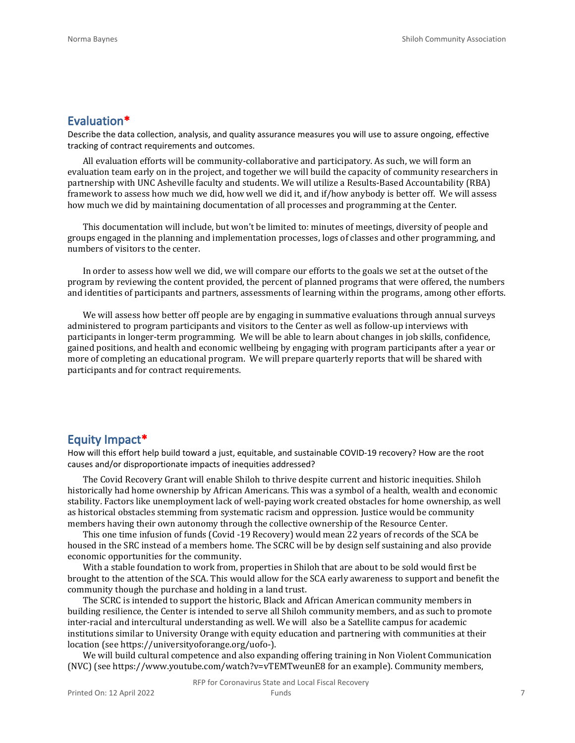#### **Evaluation\***

Describe the data collection, analysis, and quality assurance measures you will use to assure ongoing, effective tracking of contract requirements and outcomes.

All evaluation efforts will be community-collaborative and participatory. As such, we will form an evaluation team early on in the project, and together we will build the capacity of community researchers in partnership with UNC Asheville faculty and students. We will utilize a Results-Based Accountability (RBA) framework to assess how much we did, how well we did it, and if/how anybody is better off. We will assess how much we did by maintaining documentation of all processes and programming at the Center.

This documentation will include, but won't be limited to: minutes of meetings, diversity of people and groups engaged in the planning and implementation processes, logs of classes and other programming, and numbers of visitors to the center.

In order to assess how well we did, we will compare our efforts to the goals we set at the outset of the program by reviewing the content provided, the percent of planned programs that were offered, the numbers and identities of participants and partners, assessments of learning within the programs, among other efforts.

We will assess how better off people are by engaging in summative evaluations through annual surveys administered to program participants and visitors to the Center as well as follow-up interviews with participants in longer-term programming. We will be able to learn about changes in job skills, confidence, gained positions, and health and economic wellbeing by engaging with program participants after a year or more of completing an educational program. We will prepare quarterly reports that will be shared with participants and for contract requirements.

#### **Equity Impact\***

How will this effort help build toward a just, equitable, and sustainable COVID-19 recovery? How are the root causes and/or disproportionate impacts of inequities addressed?

The Covid Recovery Grant will enable Shiloh to thrive despite current and historic inequities. Shiloh historically had home ownership by African Americans. This was a symbol of a health, wealth and economic stability. Factors like unemployment lack of well-paying work created obstacles for home ownership, as well as historical obstacles stemming from systematic racism and oppression. Justice would be community members having their own autonomy through the collective ownership of the Resource Center.

This one time infusion of funds (Covid -19 Recovery) would mean 22 years of records of the SCA be housed in the SRC instead of a members home. The SCRC will be by design self sustaining and also provide economic opportunities for the community.

With a stable foundation to work from, properties in Shiloh that are about to be sold would first be brought to the attention of the SCA. This would allow for the SCA early awareness to support and benefit the community though the purchase and holding in a land trust.

The SCRC is intended to support the historic, Black and African American community members in building resilience, the Center is intended to serve all Shiloh community members, and as such to promote inter-racial and intercultural understanding as well. We will also be a Satellite campus for academic institutions similar to University Orange with equity education and partnering with communities at their location (see https://universityoforange.org/uofo-).

We will build cultural competence and also expanding offering training in Non Violent Communication (NVC) (see https://www.youtube.com/watch?v=vTEMTweunE8 for an example). Community members,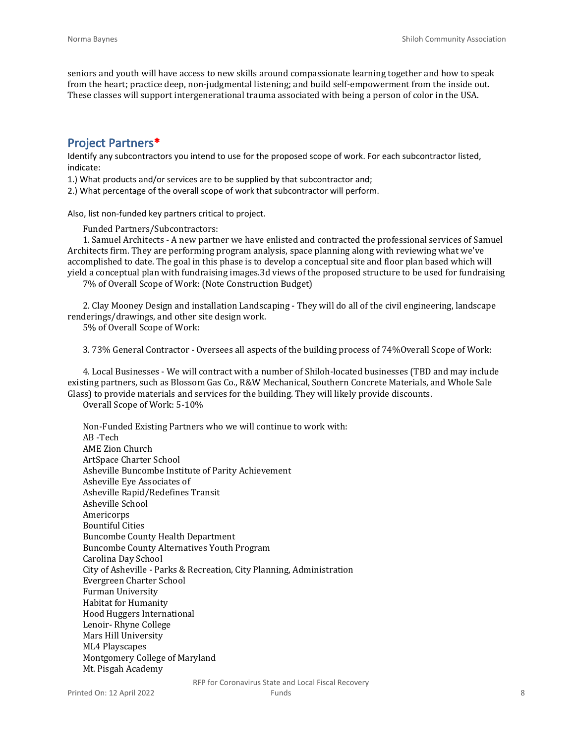seniors and youth will have access to new skills around compassionate learning together and how to speak from the heart; practice deep, non-judgmental listening; and build self-empowerment from the inside out. These classes will support intergenerational trauma associated with being a person of color in the USA.

## **Project Partners\***

Identify any subcontractors you intend to use for the proposed scope of work. For each subcontractor listed, indicate:

1.) What products and/or services are to be supplied by that subcontractor and;

2.) What percentage of the overall scope of work that subcontractor will perform.

Also, list non-funded key partners critical to project.

Funded Partners/Subcontractors:

1. Samuel Architects - A new partner we have enlisted and contracted the professional services of Samuel Architects firm. They are performing program analysis, space planning along with reviewing what we've accomplished to date. The goal in this phase is to develop a conceptual site and floor plan based which will yield a conceptual plan with fundraising images.3d views of the proposed structure to be used for fundraising

7% of Overall Scope of Work: (Note Construction Budget)

2. Clay Mooney Design and installation Landscaping - They will do all of the civil engineering, landscape renderings/drawings, and other site design work.

5% of Overall Scope of Work:

3. 73% General Contractor - Oversees all aspects of the building process of 74%Overall Scope of Work:

4. Local Businesses - We will contract with a number of Shiloh-located businesses (TBD and may include existing partners, such as Blossom Gas Co., R&W Mechanical, Southern Concrete Materials, and Whole Sale Glass) to provide materials and services for the building. They will likely provide discounts.

Overall Scope of Work: 5-10%

Non-Funded Existing Partners who we will continue to work with: AB -Tech AME Zion Church ArtSpace Charter School Asheville Buncombe Institute of Parity Achievement Asheville Eye Associates of Asheville Rapid/Redefines Transit Asheville School Americorps Bountiful Cities Buncombe County Health Department Buncombe County Alternatives Youth Program Carolina Day School City of Asheville - Parks & Recreation, City Planning, Administration Evergreen Charter School Furman University Habitat for Humanity Hood Huggers International Lenoir- Rhyne College Mars Hill University ML4 Playscapes Montgomery College of Maryland Mt. Pisgah Academy

Printed On: 12 April 2022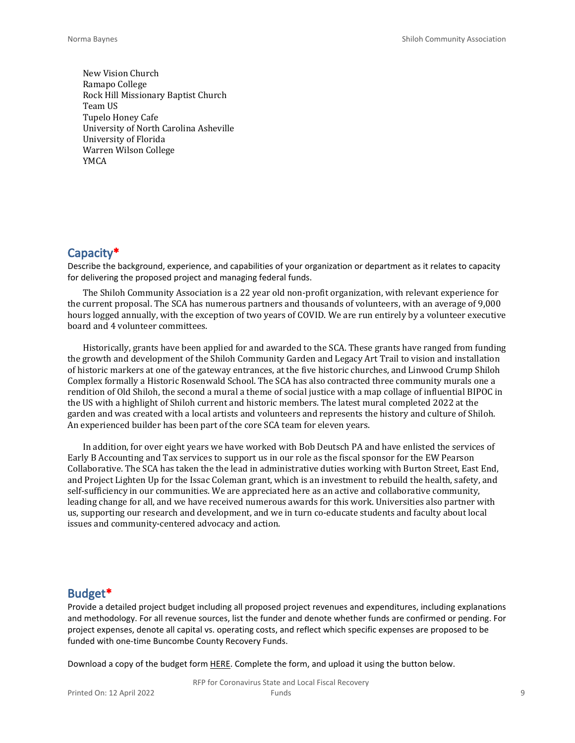New Vision Church Ramapo College Rock Hill Missionary Baptist Church Team US Tupelo Honey Cafe University of North Carolina Asheville University of Florida Warren Wilson College YMCA

## **Capacity\***

Describe the background, experience, and capabilities of your organization or department as it relates to capacity for delivering the proposed project and managing federal funds.

The Shiloh Community Association is a 22 year old non-profit organization, with relevant experience for the current proposal. The SCA has numerous partners and thousands of volunteers, with an average of 9,000 hours logged annually, with the exception of two years of COVID. We are run entirely by a volunteer executive board and 4 volunteer committees.

Historically, grants have been applied for and awarded to the SCA. These grants have ranged from funding the growth and development of the Shiloh Community Garden and Legacy Art Trail to vision and installation of historic markers at one of the gateway entrances, at the five historic churches, and Linwood Crump Shiloh Complex formally a Historic Rosenwald School. The SCA has also contracted three community murals one a rendition of Old Shiloh, the second a mural a theme of social justice with a map collage of influential BIPOC in the US with a highlight of Shiloh current and historic members. The latest mural completed 2022 at the garden and was created with a local artists and volunteers and represents the history and culture of Shiloh. An experienced builder has been part of the core SCA team for eleven years.

In addition, for over eight years we have worked with Bob Deutsch PA and have enlisted the services of Early B Accounting and Tax services to support us in our role as the fiscal sponsor for the EW Pearson Collaborative. The SCA has taken the the lead in administrative duties working with Burton Street, East End, and Project Lighten Up for the Issac Coleman grant, which is an investment to rebuild the health, safety, and self-sufficiency in our communities. We are appreciated here as an active and collaborative community, leading change for all, and we have received numerous awards for this work. Universities also partner with us, supporting our research and development, and we in turn co-educate students and faculty about local issues and community-centered advocacy and action.

## **Budget\***

Provide a detailed project budget including all proposed project revenues and expenditures, including explanations and methodology. For all revenue sources, list the funder and denote whether funds are confirmed or pending. For project expenses, denote all capital vs. operating costs, and reflect which specific expenses are proposed to be funded with one-time Buncombe County Recovery Funds.

Download a copy of the budget form [HERE](https://buncombecounty.org/common/community-investment/grants/early-childhood-education/Recovery-Funds-budget-template.xlsx). Complete the form, and upload it using the button below.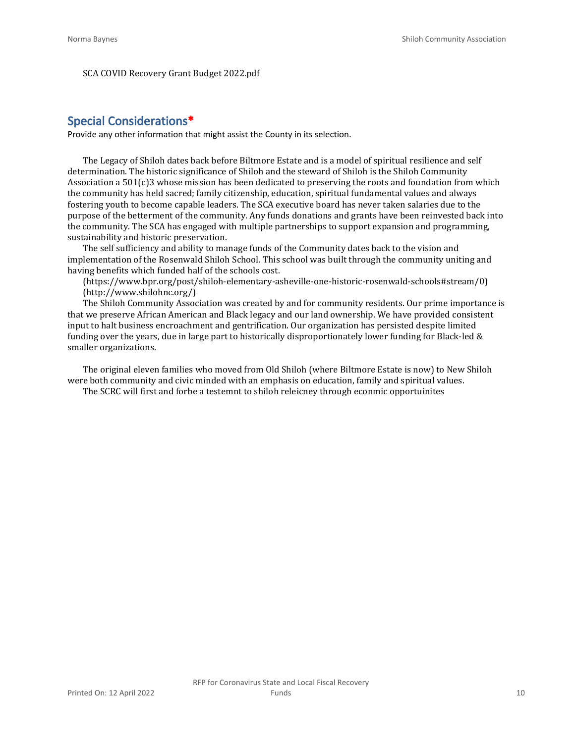SCA COVID Recovery Grant Budget 2022.pdf

## **Special Considerations\***

Provide any other information that might assist the County in its selection.

The Legacy of Shiloh dates back before Biltmore Estate and is a model of spiritual resilience and self determination. The historic significance of Shiloh and the steward of Shiloh is the Shiloh Community Association a 501(c)3 whose mission has been dedicated to preserving the roots and foundation from which the community has held sacred; family citizenship, education, spiritual fundamental values and always fostering youth to become capable leaders. The SCA executive board has never taken salaries due to the purpose of the betterment of the community. Any funds donations and grants have been reinvested back into the community. The SCA has engaged with multiple partnerships to support expansion and programming, sustainability and historic preservation.

The self sufficiency and ability to manage funds of the Community dates back to the vision and implementation of the Rosenwald Shiloh School. This school was built through the community uniting and having benefits which funded half of the schools cost.

(https://www.bpr.org/post/shiloh-elementary-asheville-one-historic-rosenwald-schools#stream/0) (http://www.shilohnc.org/)

The Shiloh Community Association was created by and for community residents. Our prime importance is that we preserve African American and Black legacy and our land ownership. We have provided consistent input to halt business encroachment and gentrification. Our organization has persisted despite limited funding over the years, due in large part to historically disproportionately lower funding for Black-led & smaller organizations.

The original eleven families who moved from Old Shiloh (where Biltmore Estate is now) to New Shiloh were both community and civic minded with an emphasis on education, family and spiritual values.

The SCRC will first and forbe a testemnt to shiloh releicney through econmic opportuinites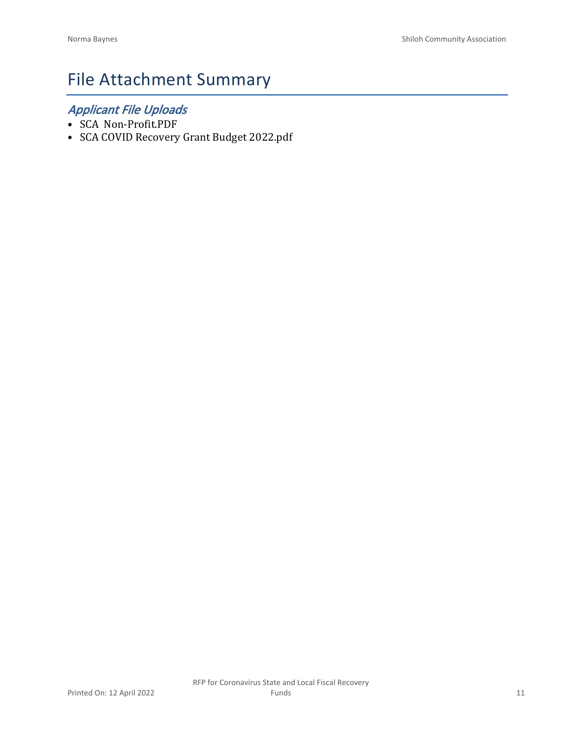# File Attachment Summary

## *Applicant File Uploads*

- SCA Non-Profit.PDF
- SCA COVID Recovery Grant Budget 2022.pdf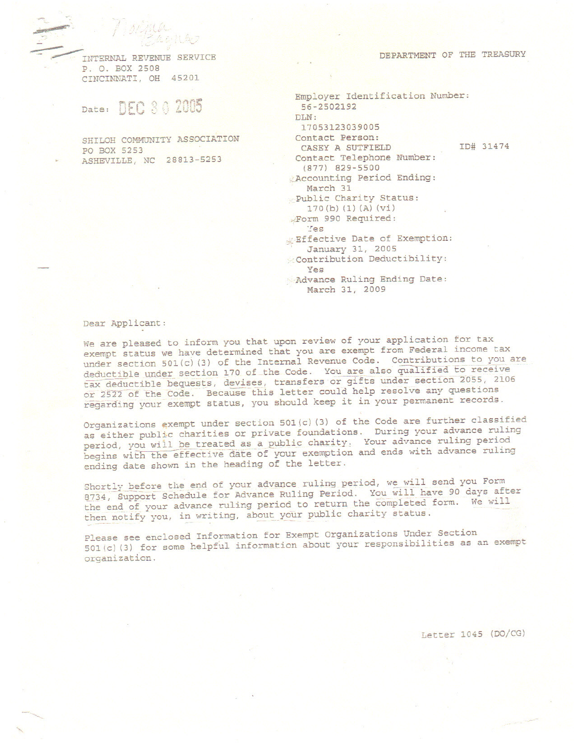INTERNAL REVENUE SERVICE P. O. BOX 2508 CINCINNATI, OH 45201

 $\mathbb{R}$ 

Date: DEC 3 0 2005

SHILOH COMMUNITY ASSOCIATION PO BOX 5253 ASHEVILLE, NC 28813-5253

| DEPARTMENT OF |  |  | THE TREASURY |
|---------------|--|--|--------------|
|---------------|--|--|--------------|

```
Employer Identification Number:
 56-2502192
DIN:
 17053123039005
Contact Person:
                             ID# 31474
  CASEY A SUTFIELD
 Contact Telephone Number:
  (877) 829-5500
Accounting Period Ending:
   March 31
Public Charity Status:
   170(b) (1) (A) (vi)Form 990 Required:
   Yes
Effective Date of Exemption:
   January 31, 2005
Contribution Deductibility:
   Yes
Advance Ruling Ending Date:
   March 31, 2009
```
#### Dear Applicant:

We are pleased to inform you that upon review of your application for tax exempt status we have determined that you are exempt from Federal income tax under section 501(c)(3) of the Internal Revenue Code. Contributions to you are deductible under section 170 of the Code. You are also qualified to receive tax deductible bequests, devises, transfers or gifts under section 2055, 2106 or 2522 of the Code. Because this letter could help resolve any questions regarding your exempt status, you should keep it in your permanent records.

Organizations exempt under section 501(c)(3) of the Code are further classified as either public charities or private foundations. During your advance ruling period, you will be treated as a public charity. Your advance ruling period begins with the effective date of your exemption and ends with advance ruling ending date shown in the heading of the letter.

Shortly before the end of your advance ruling period, we will send you Form 8734, Support Schedule for Advance Ruling Period. You will have 90 days after the end of your advance ruling period to return the completed form. We will then notify you, in writing, about your public charity status.

Please see enclosed Information for Exempt Organizations Under Section 501(c)(3) for some helpful information about your responsibilities as an exempt organization.

Letter 1045 (DO/CG)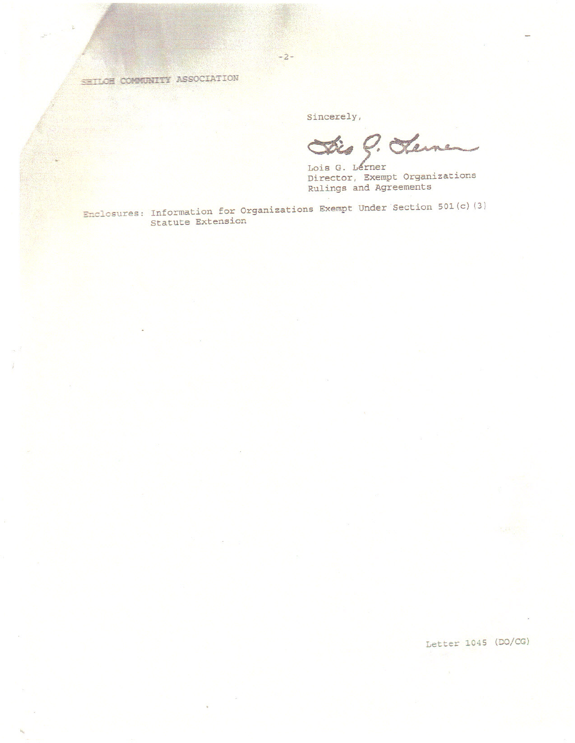SETLOR COMMUNITY ASSOCIATION

Sincerely,

Sis C. Sternen

Lois G. Lérner Director, Exempt Organizations Rulings and Agreements

Enclosures: Information for Organizations Exempt Under Section 501(c)(3)<br>Statute Extension

 $-2-$ 

Letter 1045 (DO/CG)